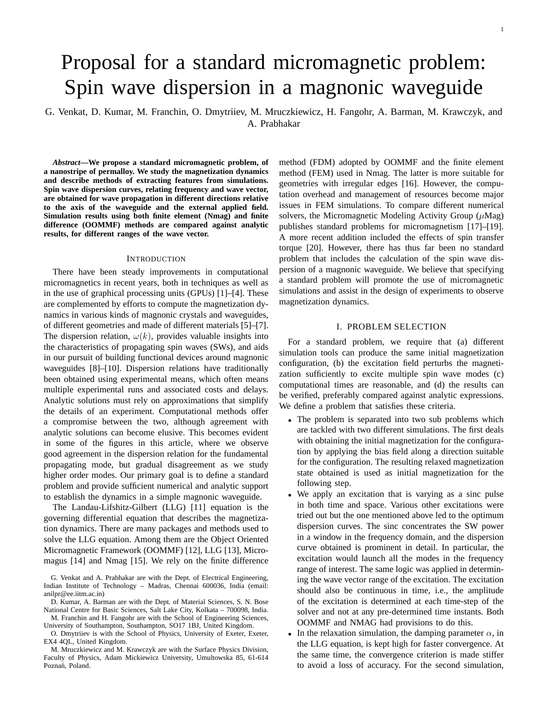1

# Proposal for a standard micromagnetic problem: Spin wave dispersion in a magnonic waveguide

G. Venkat, D. Kumar, M. Franchin, O. Dmytriiev, M. Mruczkiewicz, H. Fangohr, A. Barman, M. Krawczyk, and A. Prabhakar

*Abstract***—We propose a standard micromagnetic problem, of a nanostripe of permalloy. We study the magnetization dynamics and describe methods of extracting features from simulations. Spin wave dispersion curves, relating frequency and wave vector, are obtained for wave propagation in different directions relative to the axis of the waveguide and the external applied field. Simulation results using both finite element (Nmag) and finite difference (OOMMF) methods are compared against analytic results, for different ranges of the wave vector.**

#### **INTRODUCTION**

There have been steady improvements in computational micromagnetics in recent years, both in techniques as well as in the use of graphical processing units (GPUs) [1]–[4]. These are complemented by efforts to compute the magnetization dynamics in various kinds of magnonic crystals and waveguides, of different geometries and made of different materials [5]–[7]. The dispersion relation,  $\omega(k)$ , provides valuable insights into the characteristics of propagating spin waves (SWs), and aids in our pursuit of building functional devices around magnonic waveguides [8]–[10]. Dispersion relations have traditionally been obtained using experimental means, which often means multiple experimental runs and associated costs and delays. Analytic solutions must rely on approximations that simplify the details of an experiment. Computational methods offer a compromise between the two, although agreement with analytic solutions can become elusive. This becomes evident in some of the figures in this article, where we observe good agreement in the dispersion relation for the fundamental propagating mode, but gradual disagreement as we study higher order modes. Our primary goal is to define a standard problem and provide sufficient numerical and analytic support to establish the dynamics in a simple magnonic waveguide.

The Landau-Lifshitz-Gilbert (LLG) [11] equation is the governing differential equation that describes the magnetization dynamics. There are many packages and methods used to solve the LLG equation. Among them are the Object Oriented Micromagnetic Framework (OOMMF) [12], LLG [13], Micromagus [14] and Nmag [15]. We rely on the finite difference

D. Kumar, A. Barman are with the Dept. of Material Sciences, S. N. Bose National Centre for Basic Sciences, Salt Lake City, Kolkata – 700098, India.

M. Franchin and H. Fangohr are with the School of Engineering Sciences, University of Southampton, Southampton, SO17 1BJ, United Kingdom.

O. Dmytriiev is with the School of Physics, University of Exeter, Exeter, EX4 4QL, United Kingdom.

M. Mruczkiewicz and M. Krawczyk are with the Surface Physics Division, Faculty of Physics, Adam Mickiewicz University, Umultowska 85, 61-614 Poznań, Poland.

method (FDM) adopted by OOMMF and the finite element method (FEM) used in Nmag. The latter is more suitable for geometries with irregular edges [16]. However, the computation overhead and management of resources become major issues in FEM simulations. To compare different numerical solvers, the Micromagnetic Modeling Activity Group  $(\mu Mag)$ publishes standard problems for micromagnetism [17]–[19]. A more recent addition included the effects of spin transfer torque [20]. However, there has thus far been no standard problem that includes the calculation of the spin wave dispersion of a magnonic waveguide. We believe that specifying a standard problem will promote the use of micromagnetic simulations and assist in the design of experiments to observe magnetization dynamics.

### I. PROBLEM SELECTION

For a standard problem, we require that (a) different simulation tools can produce the same initial magnetization configuration, (b) the excitation field perturbs the magnetization sufficiently to excite multiple spin wave modes (c) computational times are reasonable, and (d) the results can be verified, preferably compared against analytic expressions. We define a problem that satisfies these criteria.

- The problem is separated into two sub problems which are tackled with two different simulations. The first deals with obtaining the initial magnetization for the configuration by applying the bias field along a direction suitable for the configuration. The resulting relaxed magnetization state obtained is used as initial magnetization for the following step.
- We apply an excitation that is varying as a sinc pulse in both time and space. Various other excitations were tried out but the one mentioned above led to the optimum dispersion curves. The sinc concentrates the SW power in a window in the frequency domain, and the dispersion curve obtained is prominent in detail. In particular, the excitation would launch all the modes in the frequency range of interest. The same logic was applied in determining the wave vector range of the excitation. The excitation should also be continuous in time, i.e., the amplitude of the excitation is determined at each time-step of the solver and not at any pre-determined time instants. Both OOMMF and NMAG had provisions to do this.
- In the relaxation simulation, the damping parameter  $\alpha$ , in the LLG equation, is kept high for faster convergence. At the same time, the convergence criterion is made stiffer to avoid a loss of accuracy. For the second simulation,

G. Venkat and A. Prabhakar are with the Dept. of Electrical Engineering, Indian Institute of Technology – Madras, Chennai 600036, India (email: anilpr@ee.iitm.ac.in)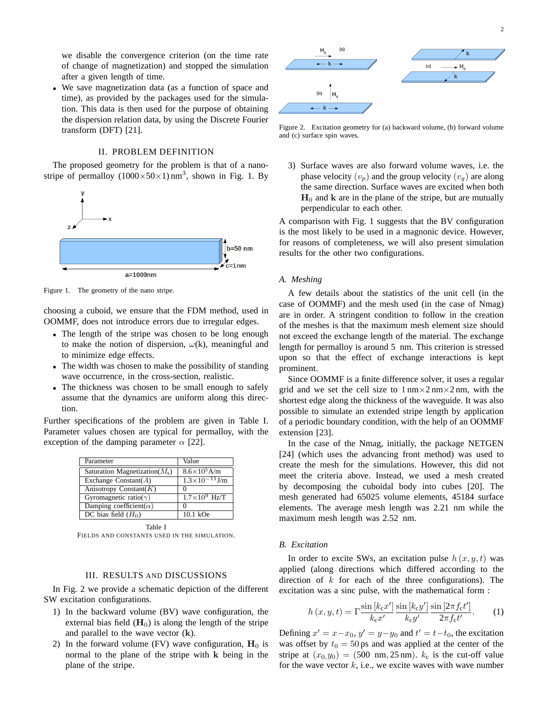we disable the convergence criterion (on the time rate of change of magnetization) and stopped the simulation after a given length of time.

• We save magnetization data (as a function of space and time), as provided by the packages used for the simulation. This data is then used for the purpose of obtaining the dispersion relation data, by using the Discrete Fourier transform (DFT) [21].

# II. PROBLEM DEFINITION

The proposed geometry for the problem is that of a nanostripe of permalloy  $(1000 \times 50 \times 1)$  nm<sup>3</sup>, shown in Fig. 1. By



Figure 1. The geometry of the nano stripe.

choosing a cuboid, we ensure that the FDM method, used in OOMMF, does not introduce errors due to irregular edges.

- The length of the stripe was chosen to be long enough to make the notion of dispersion,  $\omega(k)$ , meaningful and to minimize edge effects.
- The width was chosen to make the possibility of standing wave occurrence, in the cross-section, realistic.
- The thickness was chosen to be small enough to safely assume that the dynamics are uniform along this direction.

Further specifications of the problem are given in Table I. Parameter values chosen are typical for permalloy, with the exception of the damping parameter  $\alpha$  [22].

| Parameter                         | Value                                                                     |
|-----------------------------------|---------------------------------------------------------------------------|
| Saturation Magnetization( $M_s$ ) | $8.6 \times 10^5$ A/m                                                     |
| Exchange Constant( $A$ )          | $\frac{1.3 \times 10^{-11} \text{ J/m}}{1.3 \times 10^{-11} \text{ J/m}}$ |
| Anisotropy Constant $(K)$         |                                                                           |
| Gyromagnetic ratio( $\gamma$ )    | $1.7\times10^9$ Hz/T                                                      |
| Damping coefficient( $\alpha$ )   |                                                                           |
| DC bias field $(H_0)$             | $10.1 \text{ kOe}$                                                        |

Table I

FIELDS AND CONSTANTS USED IN THE SIMULATION.

# III. RESULTS AND DISCUSSIONS

In Fig. 2 we provide a schematic depiction of the different SW excitation configurations.

- 1) In the backward volume (BV) wave configuration, the external bias field  $(H_0)$  is along the length of the stripe and parallel to the wave vector  $(k)$ .
- 2) In the forward volume (FV) wave configuration,  $H_0$  is normal to the plane of the stripe with k being in the plane of the stripe.



Figure 2. Excitation geometry for (a) backward volume, (b) forward volume and (c) surface spin waves.

3) Surface waves are also forward volume waves, i.e. the phase velocity  $(v_p)$  and the group velocity  $(v_q)$  are along the same direction. Surface waves are excited when both  $H_0$  and k are in the plane of the stripe, but are mutually perpendicular to each other.

A comparison with Fig. 1 suggests that the BV configuration is the most likely to be used in a magnonic device. However, for reasons of completeness, we will also present simulation results for the other two configurations.

## *A. Meshing*

A few details about the statistics of the unit cell (in the case of OOMMF) and the mesh used (in the case of Nmag) are in order. A stringent condition to follow in the creation of the meshes is that the maximum mesh element size should not exceed the exchange length of the material. The exchange length for permalloy is around 5 nm. This criterion is stressed upon so that the effect of exchange interactions is kept prominent.

Since OOMMF is a finite difference solver, it uses a regular grid and we set the cell size to  $1 \text{ nm} \times 2 \text{ nm} \times 2 \text{ nm}$ , with the shortest edge along the thickness of the waveguide. It was also possible to simulate an extended stripe length by application of a periodic boundary condition, with the help of an OOMMF extension [23].

In the case of the Nmag, initially, the package NETGEN [24] (which uses the advancing front method) was used to create the mesh for the simulations. However, this did not meet the criteria above. Instead, we used a mesh created by decomposing the cuboidal body into cubes [20]. The mesh generated had 65025 volume elements, 45184 surface elements. The average mesh length was 2.21 nm while the maximum mesh length was 2.52 nm.

#### *B. Excitation*

In order to excite SWs, an excitation pulse  $h(x, y, t)$  was applied (along directions which differed according to the direction of  $k$  for each of the three configurations). The excitation was a sinc pulse, with the mathematical form :

$$
h(x, y, t) = \Gamma \frac{\sin [k_c x']}{k_c x'} \frac{\sin [k_c y']}{k_c y'} \frac{\sin [2\pi f_c t']}{2\pi f_c t'}.
$$
 (1)

Defining  $x' = x - x_0$ ,  $y' = y - y_0$  and  $t' = t - t_0$ , the excitation was offset by  $t_0 = 50$  ps and was applied at the center of the stripe at  $(x_0,y_0) = (500 \text{ nm}, 25 \text{ nm})$ .  $k_c$  is the cut-off value for the wave vector  $k$ , i.e., we excite waves with wave number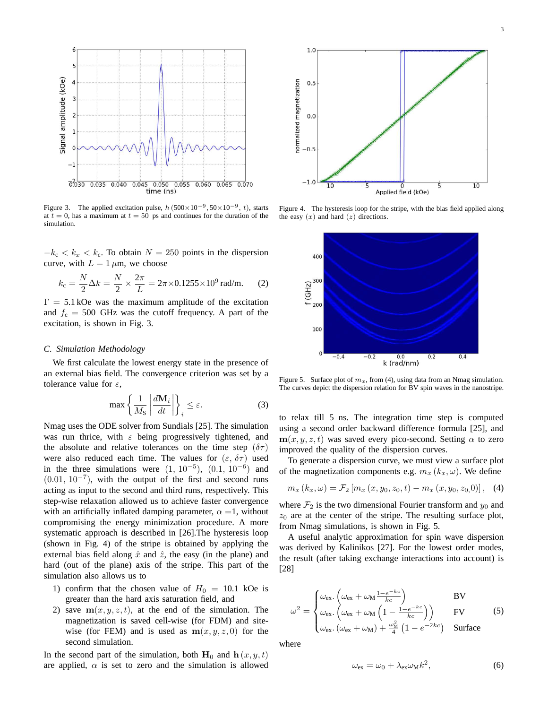

Figure 3. The applied excitation pulse,  $h(500 \times 10^{-9}, 50 \times 10^{-9}, t)$ , starts at  $t = 0$ , has a maximum at  $t = 50$  ps and continues for the duration of the simulation.

 $-k_c < k_x < k_c$ . To obtain  $N = 250$  points in the dispersion curve, with  $L = 1 \mu m$ , we choose

$$
k_{\rm c} = \frac{N}{2}\Delta k = \frac{N}{2} \times \frac{2\pi}{L} = 2\pi \times 0.1255 \times 10^9 \,\text{rad/m}.\tag{2}
$$

 $\Gamma = 5.1$  kOe was the maximum amplitude of the excitation and  $f_c = 500$  GHz was the cutoff frequency. A part of the excitation, is shown in Fig. 3.

#### *C. Simulation Methodology*

We first calculate the lowest energy state in the presence of an external bias field. The convergence criterion was set by a tolerance value for  $\varepsilon$ ,

$$
\max\left\{\frac{1}{M_{\rm S}}\left|\frac{d\mathbf{M}_i}{dt}\right|\right\}_i \leq \varepsilon. \tag{3}
$$

Nmag uses the ODE solver from Sundials [25]. The simulation was run thrice, with  $\varepsilon$  being progressively tightened, and the absolute and relative tolerances on the time step  $(\delta \tau)$ were also reduced each time. The values for  $(\varepsilon, \delta\tau)$  used in the three simulations were  $(1, 10^{-5})$ ,  $(0.1, 10^{-6})$  and (0.01, 10−<sup>7</sup> ), with the output of the first and second runs acting as input to the second and third runs, respectively. This step-wise relaxation allowed us to achieve faster convergence with an artificially inflated damping parameter,  $\alpha = 1$ , without compromising the energy minimization procedure. A more systematic approach is described in [26].The hysteresis loop (shown in Fig. 4) of the stripe is obtained by applying the external bias field along  $\hat{x}$  and  $\hat{z}$ , the easy (in the plane) and hard (out of the plane) axis of the stripe. This part of the simulation also allows us to

- 1) confirm that the chosen value of  $H_0 = 10.1$  kOe is greater than the hard axis saturation field, and
- 2) save  $m(x, y, z, t)$ , at the end of the simulation. The magnetization is saved cell-wise (for FDM) and sitewise (for FEM) and is used as  $m(x, y, z, 0)$  for the second simulation.

In the second part of the simulation, both  $H_0$  and  $h(x, y, t)$ are applied,  $\alpha$  is set to zero and the simulation is allowed



Figure 4. The hysteresis loop for the stripe, with the bias field applied along the easy  $(x)$  and hard  $(z)$  directions.



Figure 5. Surface plot of  $m_x$ , from (4), using data from an Nmag simulation. The curves depict the dispersion relation for BV spin waves in the nanostripe.

to relax till 5 ns. The integration time step is computed using a second order backward difference formula [25], and  $m(x, y, z, t)$  was saved every pico-second. Setting  $\alpha$  to zero improved the quality of the dispersion curves.

To generate a dispersion curve, we must view a surface plot of the magnetization components e.g.  $m_x (k_x, \omega)$ . We define

$$
m_x (k_x, \omega) = \mathcal{F}_2 [m_x (x, y_0, z_0, t) - m_x (x, y_0, z_0, 0)], \quad (4)
$$

where  $\mathcal{F}_2$  is the two dimensional Fourier transform and  $y_0$  and  $z_0$  are at the center of the stripe. The resulting surface plot, from Nmag simulations, is shown in Fig. 5.

A useful analytic approximation for spin wave dispersion was derived by Kalinikos [27]. For the lowest order modes, the result (after taking exchange interactions into account) is [28]

$$
\omega^2 = \begin{cases} \omega_{\text{ex}} \cdot \left( \omega_{\text{ex}} + \omega_{\text{M}} \frac{1 - e^{-kc}}{kc} \right) & \text{BV} \\ \omega_{\text{ex}} \cdot \left( \omega_{\text{ex}} + \omega_{\text{M}} \left( 1 - \frac{1 - e^{-kc}}{kc} \right) \right) & \text{FV} \\ \omega_{\text{ex}} \cdot \left( \omega_{\text{ex}} + \omega_{\text{M}} \right) + \frac{\omega_{\text{M}}^2}{4} \left( 1 - e^{-2kc} \right) & \text{Surface} \end{cases}
$$
 (5)

where

$$
\omega_{\rm ex} = \omega_0 + \lambda_{\rm ex} \omega_{\rm M} k^2, \tag{6}
$$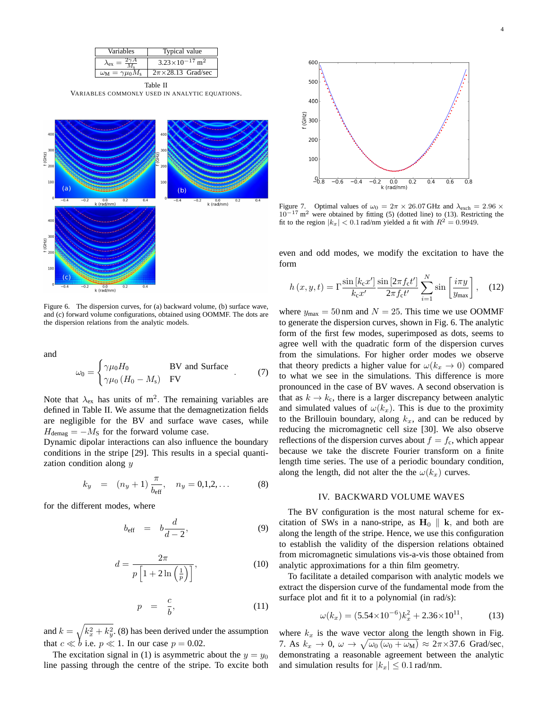

Table II VARIABLES COMMONLY USED IN ANALYTIC EQUATIONS.



Figure 6. The dispersion curves, for (a) backward volume, (b) surface wave, and (c) forward volume configurations, obtained using OOMMF. The dots are the dispersion relations from the analytic models.

and

$$
\omega_0 = \begin{cases} \gamma \mu_0 H_0 & \text{BV and Surface} \\ \gamma \mu_0 \left( H_0 - M_s \right) & \text{FV} \end{cases} \tag{7}
$$

Note that  $\lambda_{\text{ex}}$  has units of m<sup>2</sup>. The remaining variables are defined in Table II. We assume that the demagnetization fields are negligible for the BV and surface wave cases, while  $H_{\text{demag}} = -M_{\text{S}}$  for the forward volume case.

Dynamic dipolar interactions can also influence the boundary conditions in the stripe [29]. This results in a special quantization condition along  $y$ 

$$
k_y = (n_y + 1) \frac{\pi}{b_{\text{eff}}}, \quad n_y = 0, 1, 2, \dots
$$
 (8)

for the different modes, where

$$
b_{\text{eff}} = b \frac{d}{d-2}, \tag{9}
$$

$$
d = \frac{2\pi}{p\left[1 + 2\ln\left(\frac{1}{p}\right)\right]},\tag{10}
$$

$$
p = \frac{c}{b}, \tag{11}
$$

and  $k = \sqrt{k_x^2 + k_y^2}$ . (8) has been derived under the assumption that  $c \ll b$  i.e.  $p \ll 1$ . In our case  $p = 0.02$ .

The excitation signal in (1) is asymmetric about the  $y = y_0$ line passing through the centre of the stripe. To excite both



Figure 7. Optimal values of  $\omega_0 = 2\pi \times 26.07$  GHz and  $\lambda_{\text{exch}} = 2.96 \times$  $10^{-17}$  m<sup>2</sup> were obtained by fitting (5) (dotted line) to (13). Restricting the fit to the region  $|k_x| < 0.1$  rad/nm yielded a fit with  $R^2 = 0.9949$ .

even and odd modes, we modify the excitation to have the form

$$
h\left(x,y,t\right) = \Gamma \frac{\sin\left[k_c x'\right]}{k_c x'} \frac{\sin\left[2\pi f_c t'\right]}{2\pi f_c t'} \sum_{i=1}^{N} \sin\left[\frac{i\pi y}{y_{\text{max}}}\right],\quad(12)
$$

where  $y_{\text{max}} = 50 \text{ nm}$  and  $N = 25$ . This time we use OOMMF to generate the dispersion curves, shown in Fig. 6. The analytic form of the first few modes, superimposed as dots, seems to agree well with the quadratic form of the dispersion curves from the simulations. For higher order modes we observe that theory predicts a higher value for  $\omega(k_x \rightarrow 0)$  compared to what we see in the simulations. This difference is more pronounced in the case of BV waves. A second observation is that as  $k \to k_c$ , there is a larger discrepancy between analytic and simulated values of  $\omega(k_x)$ . This is due to the proximity to the Brillouin boundary, along  $k_x$ , and can be reduced by reducing the micromagnetic cell size [30]. We also observe reflections of the dispersion curves about  $f = f_c$ , which appear because we take the discrete Fourier transform on a finite length time series. The use of a periodic boundary condition, along the length, did not alter the the  $\omega(k_x)$  curves.

#### IV. BACKWARD VOLUME WAVES

The BV configuration is the most natural scheme for excitation of SWs in a nano-stripe, as  $H_0 \parallel k$ , and both are along the length of the stripe. Hence, we use this configuration to establish the validity of the dispersion relations obtained from micromagnetic simulations vis-a-vis those obtained from analytic approximations for a thin film geometry.

To facilitate a detailed comparison with analytic models we extract the dispersion curve of the fundamental mode from the surface plot and fit it to a polynomial (in rad/s):

$$
\omega(k_x) = (5.54 \times 10^{-6})k_x^2 + 2.36 \times 10^{11},\tag{13}
$$

where  $k_x$  is the wave vector along the length shown in Fig. 7. As  $k_x \to 0$ ,  $\omega \to \sqrt{\omega_0 (\omega_0 + \omega_M)} \approx 2\pi \times 37.6$  Grad/sec, demonstrating a reasonable agreement between the analytic and simulation results for  $|k_x| \leq 0.1$  rad/nm.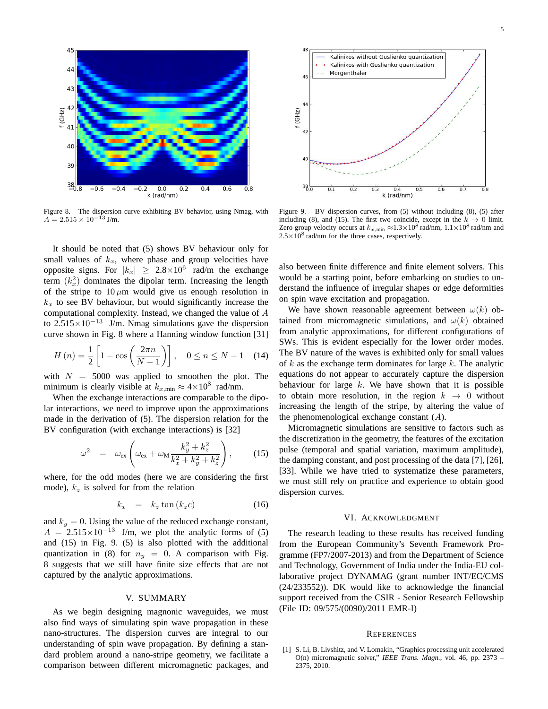

Figure 8. The dispersion curve exhibiting BV behavior, using Nmag, with  $A = 2.515 \times 10^{-13}$  J/m.

It should be noted that (5) shows BV behaviour only for small values of  $k_x$ , where phase and group velocities have opposite signs. For  $|k_x| \geq 2.8 \times 10^6$  rad/m the exchange term  $(k_x^2)$  dominates the dipolar term. Increasing the length of the stripe to  $10 \mu m$  would give us enough resolution in  $k_x$  to see BV behaviour, but would significantly increase the computational complexity. Instead, we changed the value of A to  $2.515 \times 10^{-13}$  J/m. Nmag simulations gave the dispersion curve shown in Fig. 8 where a Hanning window function [31]

$$
H(n) = \frac{1}{2} \left[ 1 - \cos \left( \frac{2\pi n}{N - 1} \right) \right], \quad 0 \le n \le N - 1 \quad (14)
$$

with  $N = 5000$  was applied to smoothen the plot. The minimum is clearly visible at  $k_{x,\text{min}} \approx 4 \times 10^8$  rad/nm.

When the exchange interactions are comparable to the dipolar interactions, we need to improve upon the approximations made in the derivation of (5). The dispersion relation for the BV configuration (with exchange interactions) is [32]

$$
\omega^2 = \omega_{\rm ex} \left( \omega_{\rm ex} + \omega_{\rm M} \frac{k_y^2 + k_z^2}{k_x^2 + k_y^2 + k_z^2} \right), \qquad (15)
$$

where, for the odd modes (here we are considering the first mode),  $k_z$  is solved for from the relation

$$
k_x = k_z \tan(k_z c) \tag{16}
$$

and  $k_y = 0$ . Using the value of the reduced exchange constant,  $A = 2.515 \times 10^{-13}$  J/m, we plot the analytic forms of (5) and (15) in Fig. 9. (5) is also plotted with the additional quantization in (8) for  $n_y = 0$ . A comparison with Fig. 8 suggests that we still have finite size effects that are not captured by the analytic approximations.

#### V. SUMMARY

As we begin designing magnonic waveguides, we must also find ways of simulating spin wave propagation in these nano-structures. The dispersion curves are integral to our understanding of spin wave propagation. By defining a standard problem around a nano-stripe geometry, we facilitate a comparison between different micromagnetic packages, and



Figure 9. BV dispersion curves, from (5) without including (8), (5) after including (8), and (15). The first two coincide, except in the  $k \to 0$  limit. Zero group velocity occurs at  $k_{x,\text{min}} \approx 1.3 \times 10^8$  rad/nm,  $1.1 \times 10^8$  rad/nm and  $2.5 \times 10^8$  rad/nm for the three cases, respectively.

also between finite difference and finite element solvers. This would be a starting point, before embarking on studies to understand the influence of irregular shapes or edge deformities on spin wave excitation and propagation.

We have shown reasonable agreement between  $\omega(k)$  obtained from micromagnetic simulations, and  $\omega(k)$  obtained from analytic approximations, for different configurations of SWs. This is evident especially for the lower order modes. The BV nature of the waves is exhibited only for small values of  $k$  as the exchange term dominates for large  $k$ . The analytic equations do not appear to accurately capture the dispersion behaviour for large  $k$ . We have shown that it is possible to obtain more resolution, in the region  $k \rightarrow 0$  without increasing the length of the stripe, by altering the value of the phenomenological exchange constant  $(A)$ .

Micromagnetic simulations are sensitive to factors such as the discretization in the geometry, the features of the excitation pulse (temporal and spatial variation, maximum amplitude), the damping constant, and post processing of the data [7], [26], [33]. While we have tried to systematize these parameters, we must still rely on practice and experience to obtain good dispersion curves.

## VI. ACKNOWLEDGMENT

The research leading to these results has received funding from the European Community's Seventh Framework Programme (FP7/2007-2013) and from the Department of Science and Technology, Government of India under the India-EU collaborative project DYNAMAG (grant number INT/EC/CMS (24/233552)). DK would like to acknowledge the financial support received from the CSIR - Senior Research Fellowship (File ID: 09/575/(0090)/2011 EMR-I)

#### **REFERENCES**

[1] S. Li, B. Livshitz, and V. Lomakin, "Graphics processing unit accelerated O(n) micromagnetic solver," *IEEE Trans. Magn.*, vol. 46, pp. 2373 – 2375, 2010.